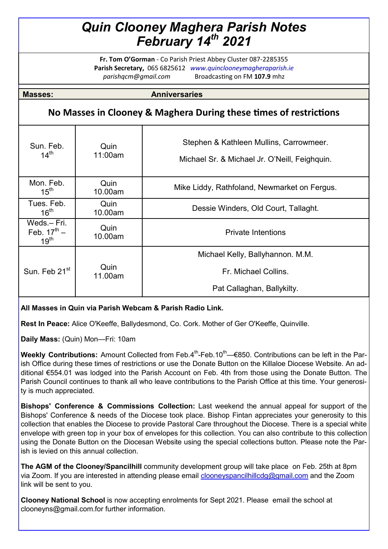## *Quin Clooney Maghera Parish Notes February 14th 2021*

**Fr. Tom O'Gorman** - Co Parish Priest Abbey Cluster 087-2285355 **Parish Secretary,** 065 6825612 *www.quinclooneymagheraparish.ie parishqcm@gmail.com* Broadcasting on FM **107.9** mhz

**Masses: Anniversaries** 

## **No Masses in Clooney & Maghera During these times of restrictions**

| Sun. Feb.<br>$14^{\text{th}}$                      | Quin<br>11:00am | Stephen & Kathleen Mullins, Carrowmeer.<br>Michael Sr. & Michael Jr. O'Neill, Feighquin. |
|----------------------------------------------------|-----------------|------------------------------------------------------------------------------------------|
| Mon. Feb.<br>$15^{\text{th}}$                      | Quin<br>10.00am | Mike Liddy, Rathfoland, Newmarket on Fergus.                                             |
| Tues. Feb.<br>16 <sup>th</sup>                     | Quin<br>10.00am | Dessie Winders, Old Court, Tallaght.                                                     |
| Weds.-Fri.<br>Feb. $17^{th}$ –<br>19 <sup>th</sup> | Quin<br>10.00am | <b>Private Intentions</b>                                                                |
|                                                    |                 | Michael Kelly, Ballyhannon. M.M.                                                         |
| Sun. Feb 21 <sup>st</sup>                          | Quin<br>11.00am | Fr. Michael Collins.                                                                     |
|                                                    |                 | Pat Callaghan, Ballykilty.                                                               |

## **All Masses in Quin via Parish Webcam & Parish Radio Link.**

**Rest In Peace:** Alice O'Keeffe, Ballydesmond, Co. Cork. Mother of Ger O'Keeffe, Quinville.

**Daily Mass:** (Quin) Mon—Fri: 10am

**Weekly Contributions:** Amount Collected from Feb.4<sup>th</sup>-Feb.10<sup>th</sup>—€850. Contributions can be left in the Parish Office during these times of restrictions or use the Donate Button on the Killaloe Diocese Website. An additional €554.01 was lodged into the Parish Account on Feb. 4th from those using the Donate Button. The Parish Council continues to thank all who leave contributions to the Parish Office at this time. Your generosity is much appreciated.

**Bishops' Conference & Commissions Collection:** Last weekend the annual appeal for support of the Bishops' Conference & needs of the Diocese took place. Bishop Fintan appreciates your generosity to this collection that enables the Diocese to provide Pastoral Care throughout the Diocese. There is a special white envelope with green top in your box of envelopes for this collection. You can also contribute to this collection using the Donate Button on the Diocesan Website using the special collections button. Please note the Parish is levied on this annual collection.

**The AGM of the Clooney/Spancilhill** community development group will take place on Feb. 25th at 8pm via Zoom. If you are interested in attending please email [clooneyspancilhillcdg@gmail.com](mailto:clooneyspancilhillcdg@gmail.com) and the Zoom link will be sent to you.

**Clooney National School** is now accepting enrolments for Sept 2021. Please email the school at clooneyns@gmail.com.for further information.